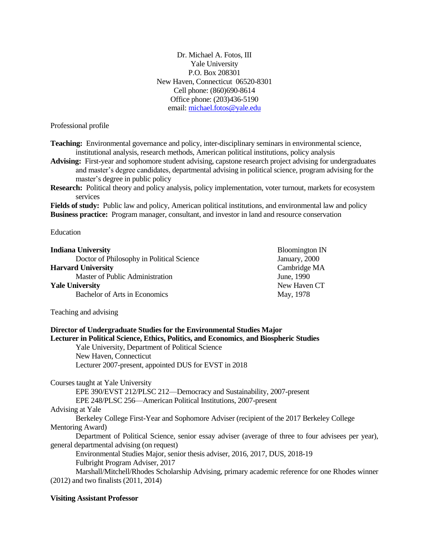Dr. Michael A. Fotos, III Yale University P.O. Box 208301 New Haven, Connecticut 06520-8301 Cell phone: (860)690-8614 Office phone: (203)436-5190 email: [michael.fotos@yale.edu](mailto:michael.fotos@yale.edu)

Professional profile

**Teaching:** Environmental governance and policy, inter-disciplinary seminars in environmental science, institutional analysis, research methods, American political institutions, policy analysis

**Advising:** First-year and sophomore student advising, capstone research project advising for undergraduates and master's degree candidates, departmental advising in political science, program advising for the master's degree in public policy

**Research:** Political theory and policy analysis, policy implementation, voter turnout, markets for ecosystem services

**Fields of study:** Public law and policy, American political institutions, and environmental law and policy **Business practice:** Program manager, consultant, and investor in land and resource conservation

Education

| <b>Indiana University</b>                 | <b>Bloomington IN</b> |
|-------------------------------------------|-----------------------|
| Doctor of Philosophy in Political Science | January, 2000         |
| <b>Harvard University</b>                 | Cambridge MA          |
| Master of Public Administration           | June, 1990            |
| <b>Yale University</b>                    | New Haven CT          |
| Bachelor of Arts in Economics             | May, 1978             |
|                                           |                       |

Teaching and advising

# **Director of Undergraduate Studies for the Environmental Studies Major Lecturer in Political Science, Ethics, Politics, and Economics**, **and Biospheric Studies** Yale University, Department of Political Science New Haven, Connecticut Lecturer 2007-present, appointed DUS for EVST in 2018 Courses taught at Yale University EPE 390/EVST 212/PLSC 212—Democracy and Sustainability, 2007-present EPE 248/PLSC 256—American Political Institutions, 2007-present Advising at Yale

Berkeley College First-Year and Sophomore Adviser (recipient of the 2017 Berkeley College Mentoring Award)

Department of Political Science, senior essay adviser (average of three to four advisees per year), general departmental advising (on request)

Environmental Studies Major, senior thesis adviser, 2016, 2017, DUS, 2018-19 Fulbright Program Adviser, 2017

Marshall/Mitchell/Rhodes Scholarship Advising, primary academic reference for one Rhodes winner (2012) and two finalists (2011, 2014)

## **Visiting Assistant Professor**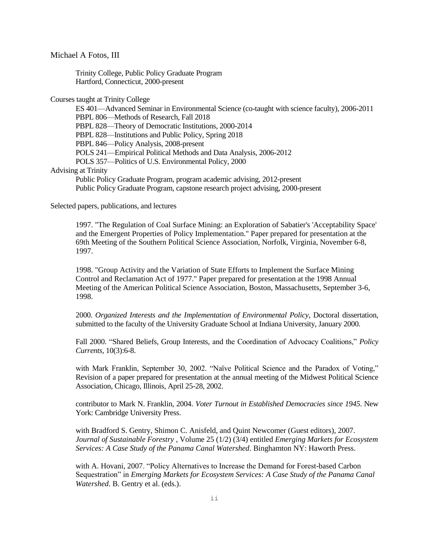Michael A Fotos, III

Trinity College, Public Policy Graduate Program Hartford, Connecticut, 2000-present

Courses taught at Trinity College

ES 401—Advanced Seminar in Environmental Science (co-taught with science faculty), 2006-2011 PBPL 806—Methods of Research, Fall 2018 PBPL 828—Theory of Democratic Institutions, 2000-2014 PBPL 828—Institutions and Public Policy, Spring 2018 PBPL 846—Policy Analysis, 2008-present POLS 241—Empirical Political Methods and Data Analysis, 2006-2012 POLS 357—Politics of U.S. Environmental Policy, 2000 Advising at Trinity Public Policy Graduate Program, program academic advising, 2012-present Public Policy Graduate Program, capstone research project advising, 2000-present

Selected papers, publications, and lectures

1997. "The Regulation of Coal Surface Mining: an Exploration of Sabatier's 'Acceptability Space' and the Emergent Properties of Policy Implementation." Paper prepared for presentation at the 69th Meeting of the Southern Political Science Association, Norfolk, Virginia, November 6-8, 1997.

1998. "Group Activity and the Variation of State Efforts to Implement the Surface Mining Control and Reclamation Act of 1977." Paper prepared for presentation at the 1998 Annual Meeting of the American Political Science Association, Boston, Massachusetts, September 3-6, 1998.

2000*. Organized Interests and the Implementation of Environmental Policy*, Doctoral dissertation, submitted to the faculty of the University Graduate School at Indiana University, January 2000.

Fall 2000. "Shared Beliefs, Group Interests, and the Coordination of Advocacy Coalitions," *Policy Currents*, 10(3):6-8.

with Mark Franklin, September 30, 2002. "Naïve Political Science and the Paradox of Voting," Revision of a paper prepared for presentation at the annual meeting of the Midwest Political Science Association, Chicago, Illinois, April 25-28, 2002.

contributor to Mark N. Franklin, 2004. *Voter Turnout in Established Democracies since 1945*. New York: Cambridge University Press.

with Bradford S. Gentry, Shimon C. Anisfeld, and Quint Newcomer (Guest editors), 2007. *Journal of Sustainable Forestry* , Volume 25 (1/2) (3/4) entitled *Emerging Markets for Ecosystem Services: A Case Study of the Panama Canal Watershed*. Binghamton NY: Haworth Press.

with A. Hovani, 2007. "Policy Alternatives to Increase the Demand for Forest-based Carbon Sequestration" in *Emerging Markets for Ecosystem Services: A Case Study of the Panama Canal Watershed*. B. Gentry et al. (eds.).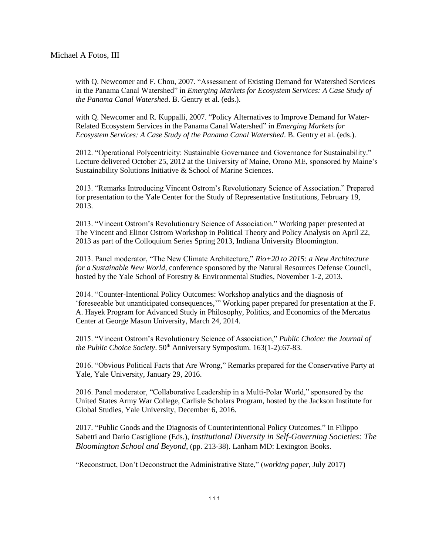with Q. Newcomer and F. Chou, 2007. "Assessment of Existing Demand for Watershed Services in the Panama Canal Watershed" in *Emerging Markets for Ecosystem Services: A Case Study of the Panama Canal Watershed*. B. Gentry et al. (eds.).

with Q. Newcomer and R. Kuppalli, 2007. "Policy Alternatives to Improve Demand for Water-Related Ecosystem Services in the Panama Canal Watershed" in *Emerging Markets for Ecosystem Services: A Case Study of the Panama Canal Watershed*. B. Gentry et al. (eds.).

2012. "Operational Polycentricity: Sustainable Governance and Governance for Sustainability." Lecture delivered October 25, 2012 at the University of Maine, Orono ME, sponsored by Maine's Sustainability Solutions Initiative & School of Marine Sciences.

2013. "Remarks Introducing Vincent Ostrom's Revolutionary Science of Association." Prepared for presentation to the Yale Center for the Study of Representative Institutions, February 19, 2013.

2013. "Vincent Ostrom's Revolutionary Science of Association." Working paper presented at The Vincent and Elinor Ostrom Workshop in Political Theory and Policy Analysis on April 22, 2013 as part of the Colloquium Series Spring 2013, Indiana University Bloomington.

2013. Panel moderator, "The New Climate Architecture," *Rio+20 to 2015: a New Architecture for a Sustainable New World*, conference sponsored by the Natural Resources Defense Council, hosted by the Yale School of Forestry & Environmental Studies, November 1-2, 2013.

2014. "Counter-Intentional Policy Outcomes: Workshop analytics and the diagnosis of 'foreseeable but unanticipated consequences,'" Working paper prepared for presentation at the F. A. Hayek Program for Advanced Study in Philosophy, Politics, and Economics of the Mercatus Center at George Mason University, March 24, 2014.

2015. "Vincent Ostrom's Revolutionary Science of Association," *Public Choice: the Journal of the Public Choice Society.* 50<sup>th</sup> Anniversary Symposium. 163(1-2):67-83.

2016. "Obvious Political Facts that Are Wrong," Remarks prepared for the Conservative Party at Yale, Yale University, January 29, 2016.

2016. Panel moderator, "Collaborative Leadership in a Multi-Polar World," sponsored by the United States Army War College, Carlisle Scholars Program, hosted by the Jackson Institute for Global Studies, Yale University, December 6, 2016.

2017. "Public Goods and the Diagnosis of Counterintentional Policy Outcomes." In Filippo Sabetti and Dario Castiglione (Eds.), *Institutional Diversity in Self-Governing Societies: The Bloomington School and Beyond*, (pp. 213-38). Lanham MD: Lexington Books.

"Reconstruct, Don't Deconstruct the Administrative State," (*working paper*, July 2017)